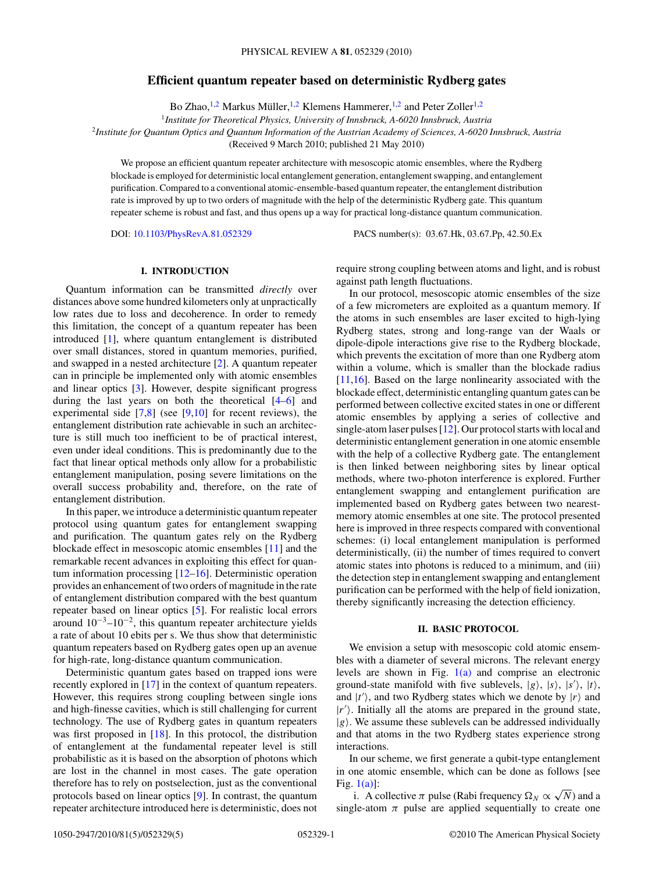# **Efficient quantum repeater based on deterministic Rydberg gates**

Bo Zhao, <sup>1,2</sup> Markus Müller, <sup>1,2</sup> Klemens Hammerer, <sup>1,2</sup> and Peter Zoller<sup>1,2</sup>

<sup>1</sup>*Institute for Theoretical Physics, University of Innsbruck, A-6020 Innsbruck, Austria*

<sup>2</sup>*Institute for Quantum Optics and Quantum Information of the Austrian Academy of Sciences, A-6020 Innsbruck, Austria*

(Received 9 March 2010; published 21 May 2010)

We propose an efficient quantum repeater architecture with mesoscopic atomic ensembles, where the Rydberg blockade is employed for deterministic local entanglement generation, entanglement swapping, and entanglement purification. Compared to a conventional atomic-ensemble-based quantum repeater, the entanglement distribution rate is improved by up to two orders of magnitude with the help of the deterministic Rydberg gate. This quantum repeater scheme is robust and fast, and thus opens up a way for practical long-distance quantum communication.

DOI: [10.1103/PhysRevA.81.052329](http://dx.doi.org/10.1103/PhysRevA.81.052329) PACS number(s): 03*.*67*.*Hk, 03*.*67*.*Pp, 42*.*50*.*Ex

### **I. INTRODUCTION**

Quantum information can be transmitted *directly* over distances above some hundred kilometers only at unpractically low rates due to loss and decoherence. In order to remedy this limitation, the concept of a quantum repeater has been introduced [\[1\]](#page-3-0), where quantum entanglement is distributed over small distances, stored in quantum memories, purified, and swapped in a nested architecture [\[2\]](#page-3-0). A quantum repeater can in principle be implemented only with atomic ensembles and linear optics [\[3\]](#page-3-0). However, despite significant progress during the last years on both the theoretical [\[4–](#page-3-0)[6\]](#page-4-0) and experimental side  $[7,8]$  (see  $[9,10]$  for recent reviews), the entanglement distribution rate achievable in such an architecture is still much too inefficient to be of practical interest, even under ideal conditions. This is predominantly due to the fact that linear optical methods only allow for a probabilistic entanglement manipulation, posing severe limitations on the overall success probability and, therefore, on the rate of entanglement distribution.

In this paper, we introduce a deterministic quantum repeater protocol using quantum gates for entanglement swapping and purification. The quantum gates rely on the Rydberg blockade effect in mesoscopic atomic ensembles [\[11\]](#page-4-0) and the remarkable recent advances in exploiting this effect for quantum information processing [\[12–16\]](#page-4-0). Deterministic operation provides an enhancement of two orders of magnitude in the rate of entanglement distribution compared with the best quantum repeater based on linear optics [\[5\]](#page-3-0). For realistic local errors around  $10^{-3}$ – $10^{-2}$ , this quantum repeater architecture yields a rate of about 10 ebits per s. We thus show that deterministic quantum repeaters based on Rydberg gates open up an avenue for high-rate, long-distance quantum communication.

Deterministic quantum gates based on trapped ions were recently explored in [\[17\]](#page-4-0) in the context of quantum repeaters. However, this requires strong coupling between single ions and high-finesse cavities, which is still challenging for current technology. The use of Rydberg gates in quantum repeaters was first proposed in [\[18\]](#page-4-0). In this protocol, the distribution of entanglement at the fundamental repeater level is still probabilistic as it is based on the absorption of photons which are lost in the channel in most cases. The gate operation therefore has to rely on postselection, just as the conventional protocols based on linear optics [\[9\]](#page-4-0). In contrast, the quantum repeater architecture introduced here is deterministic, does not require strong coupling between atoms and light, and is robust against path length fluctuations.

In our protocol, mesoscopic atomic ensembles of the size of a few micrometers are exploited as a quantum memory. If the atoms in such ensembles are laser excited to high-lying Rydberg states, strong and long-range van der Waals or dipole-dipole interactions give rise to the Rydberg blockade, which prevents the excitation of more than one Rydberg atom within a volume, which is smaller than the blockade radius [\[11,16\]](#page-4-0). Based on the large nonlinearity associated with the blockade effect, deterministic entangling quantum gates can be performed between collective excited states in one or different atomic ensembles by applying a series of collective and single-atom laser pulses [\[12\]](#page-4-0). Our protocol starts with local and deterministic entanglement generation in one atomic ensemble with the help of a collective Rydberg gate. The entanglement is then linked between neighboring sites by linear optical methods, where two-photon interference is explored. Further entanglement swapping and entanglement purification are implemented based on Rydberg gates between two nearestmemory atomic ensembles at one site. The protocol presented here is improved in three respects compared with conventional schemes: (i) local entanglement manipulation is performed deterministically, (ii) the number of times required to convert atomic states into photons is reduced to a minimum, and (iii) the detection step in entanglement swapping and entanglement purification can be performed with the help of field ionization, thereby significantly increasing the detection efficiency.

### **II. BASIC PROTOCOL**

We envision a setup with mesoscopic cold atomic ensembles with a diameter of several microns. The relevant energy levels are shown in Fig.  $1(a)$  and comprise an electronic ground-state manifold with five sublevels,  $|g\rangle$ ,  $|s\rangle$ ,  $|s'\rangle$ ,  $|t\rangle$ , and  $|t'\rangle$ , and two Rydberg states which we denote by  $|r\rangle$  and |*r*- . Initially all the atoms are prepared in the ground state,  $|g\rangle$ . We assume these sublevels can be addressed individually and that atoms in the two Rydberg states experience strong interactions.

In our scheme, we first generate a qubit-type entanglement in one atomic ensemble, which can be done as follows [see Fig.  $1(a)$ ]:

i. A collective  $\pi$  pulse (Rabi frequency  $\Omega_N \propto \sqrt{N}$ ) and a single-atom  $\pi$  pulse are applied sequentially to create one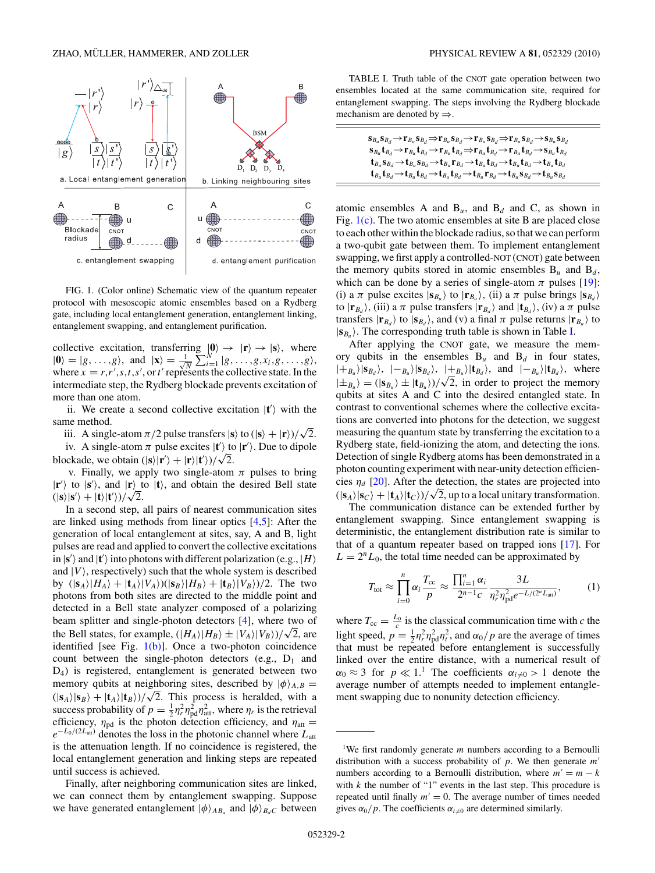<span id="page-1-0"></span>

FIG. 1. (Color online) Schematic view of the quantum repeater protocol with mesoscopic atomic ensembles based on a Rydberg gate, including local entanglement generation, entanglement linking, entanglement swapping, and entanglement purification.

collective excitation, transferring  $|\mathbf{0}\rangle \rightarrow |\mathbf{r}\rangle \rightarrow |\mathbf{s}\rangle$ , where  $|\mathbf{0}\rangle=|g,\ldots,g\rangle$ , and  $|\mathbf{x}\rangle=\frac{1}{\sqrt{l}}$  $\frac{1}{N} \sum_{i=1}^{N} |g, \ldots, g, x_i, g, \ldots, g\rangle,$ where  $x = r, r', s, t, s',$  or  $t'$  represents the collective state. In the intermediate step, the Rydberg blockade prevents excitation of more than one atom.

ii. We create a second collective excitation  $|t'\rangle$  with the same method.

iii. A single-atom  $\pi/2$  pulse transfers  $|\mathbf{s}\rangle$  to  $(|\mathbf{s}\rangle + |\mathbf{r}\rangle)/\sqrt{2}$ .

iv. A single-atom  $\pi$  pulse excites  $|t'\rangle$  to  $|r'\rangle$ . Due to dipole blockade, we obtain  $(|\mathbf{s}\rangle|\mathbf{r}'\rangle + |\mathbf{r}\rangle|\mathbf{t}'\rangle)/\sqrt{2}$ .

v. Finally, we apply two single-atom  $\pi$  pulses to bring  $|\mathbf{r}'\rangle$  to  $|\mathbf{s}'\rangle$ , and  $|\mathbf{r}\rangle$  to  $|\mathbf{t}\rangle$ , and obtain the desired Bell state  $\langle |s\rangle|s'\rangle + |t\rangle|t'\rangle)/\sqrt{2}$ .

In a second step, all pairs of nearest communication sites are linked using methods from linear optics  $[4,5]$ : After the generation of local entanglement at sites, say, A and B, light pulses are read and applied to convert the collective excitations  $\ket{\mathbf{s}'}$  and  $\ket{\mathbf{t}'}$  into photons with different polarization (e.g.,  $\ket{H}$ ) and  $|V\rangle$ , respectively) such that the whole system is described by  $(|\mathbf{s}_A\rangle|H_A\rangle+|\mathbf{t}_A\rangle|V_A\rangle)(|\mathbf{s}_B\rangle|H_B\rangle+|\mathbf{t}_B\rangle|V_B\rangle)/2$ . The two photons from both sites are directed to the middle point and detected in a Bell state analyzer composed of a polarizing beam splitter and single-photon detectors [\[4\]](#page-3-0), where two of the Bell states, for example,  $(|H_A\rangle|H_B\rangle \pm |V_A\rangle|V_B\rangle)/\sqrt{2}$ , are identified [see Fig.  $1(b)$ ]. Once a two-photon coincidence count between the single-photon detectors (e.g.,  $D_1$  and D4) is registered, entanglement is generated between two memory qubits at neighboring sites, described by  $|\phi\rangle_{A,B}$  =  $(|\mathbf{s}_A\rangle|\mathbf{s}_B\rangle + |\mathbf{t}_A\rangle|\mathbf{t}_B\rangle)/\sqrt{2}$ . This process is heralded, with a success probability of  $p = \frac{1}{2} \eta_r^2 \eta_{\text{pd}}^2 \eta_{\text{att}}^2$ , where  $\eta_r$  is the retrieval efficiency,  $\eta_{\text{pd}}$  is the photon detection efficiency, and  $\eta_{\text{att}} =$  $e^{-L_0/(2L_{\text{att}})}$  denotes the loss in the photonic channel where  $L_{\text{att}}$ is the attenuation length. If no coincidence is registered, the local entanglement generation and linking steps are repeated until success is achieved.

Finally, after neighboring communication sites are linked, we can connect them by entanglement swapping. Suppose we have generated entanglement  $|\phi\rangle_{AB_u}$  and  $|\phi\rangle_{B_dC}$  between

TABLE I. Truth table of the CNOT gate operation between two ensembles located at the same communication site, required for entanglement swapping. The steps involving the Rydberg blockade mechanism are denoted by  $\Rightarrow$ .

| $\mathbf{s}_{B_u}\mathbf{s}_{B_d}{\to}\mathbf{r}_{B_u}\mathbf{s}_{B_d}{\to}\mathbf{r}_{B_u}\mathbf{s}_{B_d}{\to}\mathbf{r}_{B_u}\mathbf{s}_{B_d}{\to}\mathbf{r}_{B_u}\mathbf{s}_{B_d}{\to}\mathbf{s}_{B_u}\mathbf{s}_{B_d}$                                               |  |
|---------------------------------------------------------------------------------------------------------------------------------------------------------------------------------------------------------------------------------------------------------------------------|--|
| $\mathbf{s}_{B_u}\mathbf{t}_{B_d}{\rightarrow}\mathbf{r}_{B_u}\mathbf{t}_{B_d}{\rightarrow}\mathbf{r}_{B_u}\mathbf{t}_{B_d}{\Rightarrow}\mathbf{r}_{B_u}\mathbf{t}_{B_d}{\rightarrow}\mathbf{r}_{B_u}\mathbf{t}_{B_d}{\rightarrow}\mathbf{s}_{B_u}\mathbf{t}_{B_d}$       |  |
| $\mathbf{t}_{B_u} \mathbf{s}_{B_d} \rightarrow \mathbf{t}_{B_u} \mathbf{s}_{B_d} \rightarrow \mathbf{t}_{B_u} \mathbf{r}_{B_d} \rightarrow \mathbf{t}_{B_u} \mathbf{t}_{B_d} \rightarrow \mathbf{t}_{B_u} \mathbf{t}_{B_d} \rightarrow \mathbf{t}_{B_u} \mathbf{t}_{B_d}$ |  |
| $\mathbf{t}_{B_u}\mathbf{t}_{B_d} \rightarrow \mathbf{t}_{B_u}\mathbf{t}_{B_d} \rightarrow \mathbf{t}_{B_u}\mathbf{t}_{B_d} \rightarrow \mathbf{t}_{B_u}\mathbf{r}_{B_d} \rightarrow \mathbf{t}_{B_u}\mathbf{s}_{B_d} \rightarrow \mathbf{t}_{B_u}\mathbf{s}_{B_d}$       |  |

atomic ensembles A and  $B_u$ , and  $B_d$  and C, as shown in Fig. 1(c). The two atomic ensembles at site B are placed close to each other within the blockade radius, so that we can perform a two-qubit gate between them. To implement entanglement swapping, we first apply a controlled-NOT (CNOT) gate between the memory qubits stored in atomic ensembles  $B_u$  and  $B_d$ , which can be done by a series of single-atom  $\pi$  pulses [\[19\]](#page-4-0): (i) a  $\pi$  pulse excites  $|\mathbf{s}_{B_u}\rangle$  to  $|\mathbf{r}_{B_u}\rangle$ , (ii) a  $\pi$  pulse brings  $|\mathbf{s}_{B_d}\rangle$ to  $|\mathbf{r}_{B_d}\rangle$ , (iii) a  $\pi$  pulse transfers  $|\mathbf{r}_{B_d}\rangle$  and  $|\mathbf{t}_{B_d}\rangle$ , (iv) a  $\pi$  pulse transfers  $|\mathbf{r}_{B_d}\rangle$  to  $|\mathbf{s}_{B_d}\rangle$ , and (v) a final  $\pi$  pulse returns  $|\mathbf{r}_{B_u}\rangle$  to  $|\mathbf{s}_{B_u}\rangle$ . The corresponding truth table is shown in Table I.

After applying the CNOT gate, we measure the memory qubits in the ensembles  $B_u$  and  $B_d$  in four states,  $|+_{B_u}\rangle |\mathbf{s}_{B_d}\rangle$ ,  $|-_{B_u}\rangle |\mathbf{s}_{B_d}\rangle$ ,  $|+_{B_u}\rangle |\mathbf{t}_{B_d}\rangle$ , and  $|-_{B_u}\rangle |\mathbf{t}_{B_d}\rangle$ , where  $|\pm_{B_u}\rangle = (|\mathbf{s}_{B_u}\rangle \pm |\mathbf{t}_{B_u}\rangle)/\sqrt{2}$ , in order to project the memory qubits at sites A and C into the desired entangled state. In contrast to conventional schemes where the collective excitations are converted into photons for the detection, we suggest measuring the quantum state by transferring the excitation to a Rydberg state, field-ionizing the atom, and detecting the ions. Detection of single Rydberg atoms has been demonstrated in a photon counting experiment with near-unity detection efficiencies  $\eta_d$  [\[20\]](#page-4-0). After the detection, the states are projected into  $(|\mathbf{s}_A\rangle|\mathbf{s}_C\rangle + |\mathbf{t}_A\rangle|\mathbf{t}_C\rangle)/\sqrt{2}$ , up to a local unitary transformation.

The communication distance can be extended further by entanglement swapping. Since entanglement swapping is deterministic, the entanglement distribution rate is similar to that of a quantum repeater based on trapped ions [\[17\]](#page-4-0). For  $L = 2<sup>n</sup>L<sub>0</sub>$ , the total time needed can be approximated by

$$
T_{\text{tot}} \approx \prod_{i=0}^{n} \alpha_i \frac{T_{\text{cc}}}{p} \approx \frac{\prod_{i=1}^{n} \alpha_i}{2^{n-1} c} \frac{3L}{\eta_r^2 \eta_{\text{pd}}^2 e^{-L/(2^n L_{\text{att}})}},\tag{1}
$$

where  $T_{cc} = \frac{L_0}{c}$  is the classical communication time with *c* the light speed,  $p = \frac{1}{2} \eta_r^2 \eta_{\text{pd}}^2 \eta_t^2$ , and  $\alpha_0/p$  are the average of times that must be repeated before entanglement is successfully linked over the entire distance, with a numerical result of  $\alpha_0 \approx 3$  for  $p \ll 1$ .<sup>1</sup> The coefficients  $\alpha_{i \neq 0} > 1$  denote the average number of attempts needed to implement entanglement swapping due to nonunity detection efficiency.

<sup>&</sup>lt;sup>1</sup>We first randomly generate *m* numbers according to a Bernoulli distribution with a success probability of *p*. We then generate *m* numbers according to a Bernoulli distribution, where  $m' = m - k$ with  $k$  the number of "1" events in the last step. This procedure is repeated until finally  $m' = 0$ . The average number of times needed gives  $\alpha_0/p$ . The coefficients  $\alpha_{i\neq0}$  are determined similarly.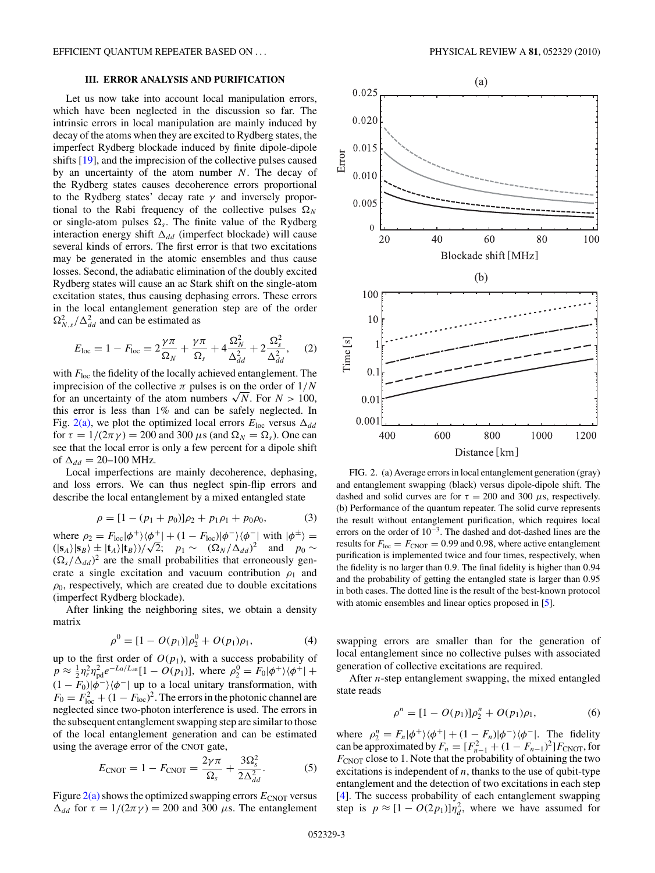## **III. ERROR ANALYSIS AND PURIFICATION**

<span id="page-2-0"></span>Let us now take into account local manipulation errors, which have been neglected in the discussion so far. The intrinsic errors in local manipulation are mainly induced by decay of the atoms when they are excited to Rydberg states, the imperfect Rydberg blockade induced by finite dipole-dipole shifts [\[19\]](#page-4-0), and the imprecision of the collective pulses caused by an uncertainty of the atom number *N*. The decay of the Rydberg states causes decoherence errors proportional to the Rydberg states' decay rate *γ* and inversely proportional to the Rabi frequency of the collective pulses  $\Omega_N$ or single-atom pulses  $\Omega_s$ . The finite value of the Rydberg interaction energy shift  $\Delta_{dd}$  (imperfect blockade) will cause several kinds of errors. The first error is that two excitations may be generated in the atomic ensembles and thus cause losses. Second, the adiabatic elimination of the doubly excited Rydberg states will cause an ac Stark shift on the single-atom excitation states, thus causing dephasing errors. These errors in the local entanglement generation step are of the order  $\Omega_{N,s}^2/\Delta_{dd}^2$  and can be estimated as

$$
E_{\rm loc} = 1 - F_{\rm loc} = 2\frac{\gamma\pi}{\Omega_N} + \frac{\gamma\pi}{\Omega_s} + 4\frac{\Omega_N^2}{\Delta_{dd}^2} + 2\frac{\Omega_s^2}{\Delta_{dd}^2},\tag{2}
$$

with  $F_{\text{loc}}$  the fidelity of the locally achieved entanglement. The imprecision of the collective  $\pi$  pulses is on the order of  $1/N$ for an uncertainty of the atom numbers  $\sqrt{N}$ . For  $N > 100$ , this error is less than 1% and can be safely neglected. In Fig. 2(a), we plot the optimized local errors  $E_{\text{loc}}$  versus  $\Delta_{dd}$ for  $\tau = 1/(2\pi \gamma) = 200$  and 300  $\mu$ s (and  $\Omega_N = \Omega_s$ ). One can see that the local error is only a few percent for a dipole shift of  $\Delta_{dd} = 20 - 100$  MHz.

Local imperfections are mainly decoherence, dephasing, and loss errors. We can thus neglect spin-flip errors and describe the local entanglement by a mixed entangled state

$$
\rho = [1 - (p_1 + p_0)]\rho_2 + p_1 \rho_1 + p_0 \rho_0,\tag{3}
$$

where  $\rho_2 = F_{\text{loc}}|\phi^+\rangle\langle\phi^+| + (1 - F_{\text{loc}})|\phi^-\rangle\langle\phi^-|$  with  $|\phi^{\pm}\rangle =$  $\langle (s_A)|s_B\rangle \pm (t_A)|t_B\rangle / \sqrt{2}$ ; *p*<sub>1</sub> ∼  $(\Omega_N/\Delta_{dd})^2$  and *p*<sub>0</sub> ∼  $(\Omega_s/\Delta_{dd})^2$  are the small probabilities that erroneously generate a single excitation and vacuum contribution  $\rho_1$  and  $\rho_0$ , respectively, which are created due to double excitations (imperfect Rydberg blockade).

After linking the neighboring sites, we obtain a density matrix

$$
\rho^0 = [1 - O(p_1)]\rho_2^0 + O(p_1)\rho_1,\tag{4}
$$

up to the first order of  $O(p_1)$ , with a success probability of  $p \approx \frac{1}{2} \eta_r^2 \eta_{\text{pd}}^2 e^{-L_0/L_{\text{att}}} [1 - O(p_1)],$  where  $\rho_2^0 = F_0 |\phi^+\rangle \langle \phi^+| +$  $(1 - F_0)|\phi^{-}\rangle\langle\phi^{-}|$  up to a local unitary transformation, with  $F_0 = F_{\text{loc}}^2 + (1 - F_{\text{loc}})^2$ . The errors in the photonic channel are neglected since two-photon interference is used. The errors in the subsequent entanglement swapping step are similar to those of the local entanglement generation and can be estimated using the average error of the CNOT gate,

$$
E_{\text{CNOT}} = 1 - F_{\text{CNOT}} = \frac{2\gamma\pi}{\Omega_s} + \frac{3\Omega_s^2}{2\Delta_{dd}^2}.
$$
 (5)

Figure  $2(a)$  shows the optimized swapping errors  $E_{CNOT}$  versus  $Δ<sub>dd</sub>$  for  $τ = 1/(2πγ) = 200$  and 300 *μ*s. The entanglement



FIG. 2. (a) Average errors in local entanglement generation (gray) and entanglement swapping (black) versus dipole-dipole shift. The dashed and solid curves are for  $\tau = 200$  and 300  $\mu$ s, respectively. (b) Performance of the quantum repeater. The solid curve represents the result without entanglement purification, which requires local errors on the order of  $10^{-3}$ . The dashed and dot-dashed lines are the results for  $F_{\text{loc}} = F_{\text{CNOT}} = 0.99$  and 0.98, where active entanglement purification is implemented twice and four times, respectively, when the fidelity is no larger than 0*.*9. The final fidelity is higher than 0*.*94 and the probability of getting the entangled state is larger than 0*.*95 in both cases. The dotted line is the result of the best-known protocol with atomic ensembles and linear optics proposed in [\[5\]](#page-3-0).

swapping errors are smaller than for the generation of local entanglement since no collective pulses with associated generation of collective excitations are required.

After *n*-step entanglement swapping, the mixed entangled state reads

$$
\rho^{n} = [1 - O(p_1)]\rho_2^{n} + O(p_1)\rho_1, \qquad (6)
$$

where  $\rho_2^n = F_n |\phi^+\rangle \langle \phi^+| + (1 - F_n)|\phi^-\rangle \langle \phi^-|$ . The fidelity can be approximated by  $F_n = [F_{n-1}^2 + (1 - F_{n-1})^2]F_{\text{CNOT}}$ , for  $F_{\text{CNOT}}$  close to 1. Note that the probability of obtaining the two excitations is independent of  $n$ , thanks to the use of qubit-type entanglement and the detection of two excitations in each step [\[4\]](#page-3-0). The success probability of each entanglement swapping step is  $p \approx [1 - O(2p_1)]\eta_d^2$ , where we have assumed for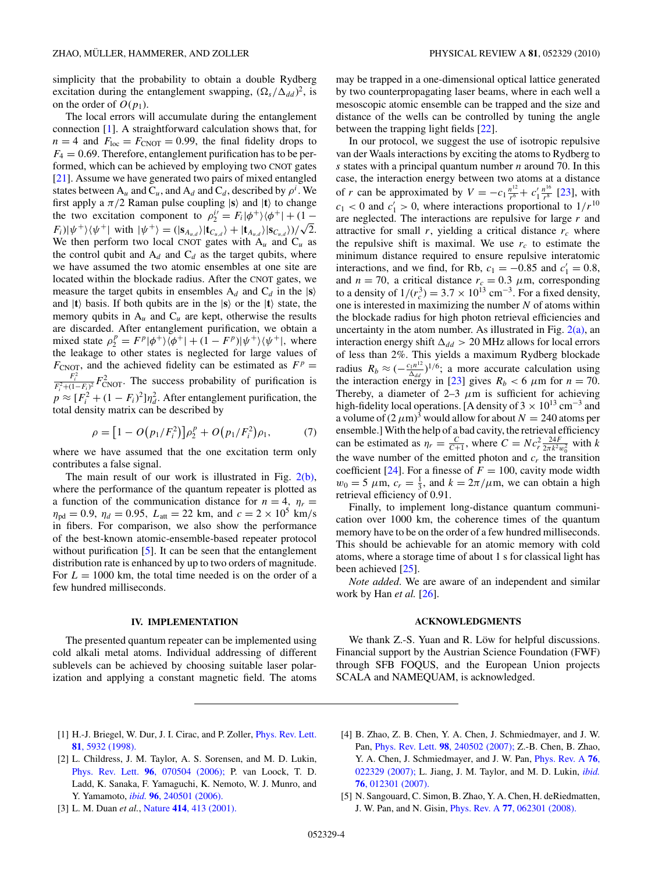<span id="page-3-0"></span>simplicity that the probability to obtain a double Rydberg excitation during the entanglement swapping,  $(\Omega_s / \Delta_{dd})^2$ , is on the order of  $O(p_1)$ .

The local errors will accumulate during the entanglement connection [1]. A straightforward calculation shows that, for  $n = 4$  and  $F_{\text{loc}} = F_{\text{CNOT}} = 0.99$ , the final fidelity drops to  $F_4 = 0.69$ . Therefore, entanglement purification has to be performed, which can be achieved by employing two CNOT gates [\[21\]](#page-4-0). Assume we have generated two pairs of mixed entangled states between  $A_u$  and  $C_u$ , and  $A_d$  and  $C_d$ , described by  $\rho^i$ . We first apply a  $\pi/2$  Raman pulse coupling  $|\mathbf{s}\rangle$  and  $|\mathbf{t}\rangle$  to change the two excitation component to  $\rho_2^{i'} = F_i |\phi^+\rangle \langle \phi^+| + (1 - \phi_i^+)$  $F_i(|\psi^+\rangle\langle\psi^+|$  with  $|\psi^+\rangle = (|\mathbf{s}_{A_{u,d}}\rangle|\mathbf{t}_{C_{u,d}}\rangle + |\mathbf{t}_{A_{u,d}}\rangle|\mathbf{s}_{C_{u,d}}\rangle)/\sqrt{2}.$ We then perform two local CNOT gates with  $A_u$  and  $C_u$  as the control qubit and  $A_d$  and  $C_d$  as the target qubits, where we have assumed the two atomic ensembles at one site are located within the blockade radius. After the CNOT gates, we measure the target qubits in ensembles  $A_d$  and  $C_d$  in the  $|\mathbf{s}\rangle$ and  $|t\rangle$  basis. If both qubits are in the  $|s\rangle$  or the  $|t\rangle$  state, the memory qubits in  $A_u$  and  $C_u$  are kept, otherwise the results are discarded. After entanglement purification, we obtain a mixed state  $\rho_2^p = F^p |\phi^+\rangle \langle \phi^+| + (1 - F^p)|\psi^+\rangle \langle \psi^+|$ , where the leakage to other states is neglected for large values of  $F_{\text{CNOT}}$ , and the achieved fidelity can be estimated as  $F^p =$  $\frac{F_i^2}{F_i^2 + (1 - F_i)^2} F_{\text{CNOT}}^2$ . The success probability of purification is  $p \approx [F_i^2 + (1 - F_i)^2] \eta_d^2$ . After entanglement purification, the total density matrix can be described by

$$
\rho = [1 - O(p_1/F_i^2)]\rho_2^p + O(p_1/F_i^2)\rho_1,\tag{7}
$$

where we have assumed that the one excitation term only contributes a false signal.

The main result of our work is illustrated in Fig. [2\(b\),](#page-2-0) where the performance of the quantum repeater is plotted as a function of the communication distance for  $n = 4$ ,  $\eta_r =$  $\eta_{\text{pd}} = 0.9$ ,  $\eta_d = 0.95$ ,  $L_{\text{att}} = 22$  km, and  $c = 2 \times 10^5$  km/s in fibers. For comparison, we also show the performance of the best-known atomic-ensemble-based repeater protocol without purification [5]. It can be seen that the entanglement distribution rate is enhanced by up to two orders of magnitude. For  $L = 1000$  km, the total time needed is on the order of a few hundred milliseconds.

### **IV. IMPLEMENTATION**

The presented quantum repeater can be implemented using cold alkali metal atoms. Individual addressing of different sublevels can be achieved by choosing suitable laser polarization and applying a constant magnetic field. The atoms

may be trapped in a one-dimensional optical lattice generated by two counterpropagating laser beams, where in each well a mesoscopic atomic ensemble can be trapped and the size and distance of the wells can be controlled by tuning the angle between the trapping light fields [\[22\]](#page-4-0).

In our protocol, we suggest the use of isotropic repulsive van der Waals interactions by exciting the atoms to Rydberg to *s* states with a principal quantum number *n* around 70. In this case, the interaction energy between two atoms at a distance of *r* can be approximated by  $V = -c_1 \frac{n^{12}}{r^6} + c'_1 \frac{n^{16}}{r^8}$  [\[23\]](#page-4-0), with  $c_1$  < 0 and  $c'_1$  > 0, where interactions proportional to  $1/r^{10}$ are neglected. The interactions are repulsive for large *r* and attractive for small  $r$ , yielding a critical distance  $r_c$  where the repulsive shift is maximal. We use  $r_c$  to estimate the minimum distance required to ensure repulsive interatomic interactions, and we find, for Rb,  $c_1 = -0.85$  and  $c'_1 = 0.8$ , and  $n = 70$ , a critical distance  $r_c = 0.3 \mu m$ , corresponding to a density of  $1/(r_c^3) = 3.7 \times 10^{13} \text{ cm}^{-3}$ . For a fixed density, one is interested in maximizing the number *N* of atoms within the blockade radius for high photon retrieval efficiencies and uncertainty in the atom number. As illustrated in Fig.  $2(a)$ , an interaction energy shift  $\Delta_{dd} > 20$  MHz allows for local errors of less than 2%. This yields a maximum Rydberg blockade radius  $R_b \approx (-\frac{c_1 n^{12}}{\Delta_{dd}})^{1/6}$ ; a more accurate calculation using the interaction energy in [\[23\]](#page-4-0) gives  $R_b < 6 \mu$ m for  $n = 70$ . Thereby, a diameter of  $2-3$   $\mu$ m is sufficient for achieving high-fidelity local operations. [A density of  $3 \times 10^{13}$  cm<sup>-3</sup> and a volume of  $(2 \mu m)^3$  would allow for about  $N = 240$  atoms per ensemble.] With the help of a bad cavity, the retrieval efficiency can be estimated as  $\eta_r = \frac{C}{C+1}$ , where  $C = Nc_r^2 \frac{24F}{2\pi k^2 w_0^2}$  with *k* the wave number of the emitted photon and  $c_r$  the transition coefficient [\[24\]](#page-4-0). For a finesse of  $F = 100$ , cavity mode width  $w_0 = 5 \mu \text{m}$ ,  $c_r = \frac{1}{3}$ , and  $k = 2\pi/\mu \text{m}$ , we can obtain a high retrieval efficiency of 0.91.

Finally, to implement long-distance quantum communication over 1000 km, the coherence times of the quantum memory have to be on the order of a few hundred milliseconds. This should be achievable for an atomic memory with cold atoms, where a storage time of about 1 s for classical light has been achieved [\[25\]](#page-4-0).

*Note added*. We are aware of an independent and similar work by Han *et al.* [\[26\]](#page-4-0).

#### **ACKNOWLEDGMENTS**

We thank Z.-S. Yuan and R. Löw for helpful discussions. Financial support by the Austrian Science Foundation (FWF) through SFB FOQUS, and the European Union projects SCALA and NAMEQUAM, is acknowledged.

- [1] H.-J. Briegel, W. Dur, J. I. Cirac, and P. Zoller, *[Phys. Rev. Lett.](http://dx.doi.org/10.1103/PhysRevLett.81.5932)* **81**[, 5932 \(1998\).](http://dx.doi.org/10.1103/PhysRevLett.81.5932)
- [2] L. Childress, J. M. Taylor, A. S. Sorensen, and M. D. Lukin, Phys. Rev. Lett. **96**[, 070504 \(2006\);](http://dx.doi.org/10.1103/PhysRevLett.96.070504) P. van Loock, T. D. Ladd, K. Sanaka, F. Yamaguchi, K. Nemoto, W. J. Munro, and Y. Yamamoto, *ibid.* **96**[, 240501 \(2006\).](http://dx.doi.org/10.1103/PhysRevLett.96.240501)
- [3] L. M. Duan *et al.*, Nature **414**[, 413 \(2001\).](http://dx.doi.org/10.1038/35106500)
- [4] B. Zhao, Z. B. Chen, Y. A. Chen, J. Schmiedmayer, and J. W. Pan, Phys. Rev. Lett. **98**[, 240502 \(2007\);](http://dx.doi.org/10.1103/PhysRevLett.98.240502) Z.-B. Chen, B. Zhao, Y. A. Chen, J. Schmiedmayer, and J. W. Pan, [Phys. Rev. A](http://dx.doi.org/10.1103/PhysRevA.76.022329) **76**, [022329 \(2007\);](http://dx.doi.org/10.1103/PhysRevA.76.022329) L. Jiang, J. M. Taylor, and M. D. Lukin, *[ibid.](http://dx.doi.org/10.1103/PhysRevA.76.012301)* **76**[, 012301 \(2007\).](http://dx.doi.org/10.1103/PhysRevA.76.012301)
- [5] N. Sangouard, C. Simon, B. Zhao, Y. A. Chen, H. deRiedmatten, J. W. Pan, and N. Gisin, Phys. Rev. A **77**[, 062301 \(2008\).](http://dx.doi.org/10.1103/PhysRevA.77.062301)